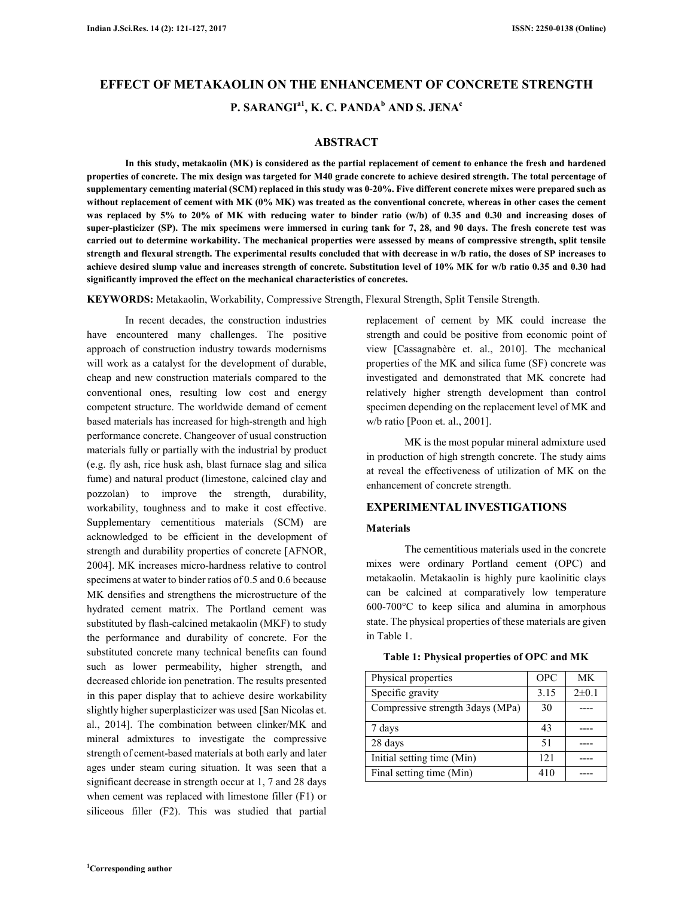# **EFFECT OF METAKAOLIN ON THE ENHANCEMENT OF CONCRETE STRENGTH P. SARANGIa1, K. C. PANDA<sup>b</sup> AND S. JENA<sup>c</sup>**

# **ABSTRACT**

**In this study, metakaolin (MK) is considered as the partial replacement of cement to enhance the fresh and hardened properties of concrete. The mix design was targeted for M40 grade concrete to achieve desired strength. The total percentage of supplementary cementing material (SCM) replaced in this study was 0-20%. Five different concrete mixes were prepared such as without replacement of cement with MK (0% MK) was treated as the conventional concrete, whereas in other cases the cement**  was replaced by 5% to 20% of MK with reducing water to binder ratio (w/b) of 0.35 and 0.30 and increasing doses of **super-plasticizer (SP). The mix specimens were immersed in curing tank for 7, 28, and 90 days. The fresh concrete test was carried out to determine workability. The mechanical properties were assessed by means of compressive strength, split tensile strength and flexural strength. The experimental results concluded that with decrease in w/b ratio, the doses of SP increases to achieve desired slump value and increases strength of concrete. Substitution level of 10% MK for w/b ratio 0.35 and 0.30 had significantly improved the effect on the mechanical characteristics of concretes.** 

**KEYWORDS:** Metakaolin, Workability, Compressive Strength, Flexural Strength, Split Tensile Strength.

In recent decades, the construction industries have encountered many challenges. The positive approach of construction industry towards modernisms will work as a catalyst for the development of durable, cheap and new construction materials compared to the conventional ones, resulting low cost and energy competent structure. The worldwide demand of cement based materials has increased for high-strength and high performance concrete. Changeover of usual construction materials fully or partially with the industrial by product (e.g. fly ash, rice husk ash, blast furnace slag and silica fume) and natural product (limestone, calcined clay and pozzolan) to improve the strength, durability, workability, toughness and to make it cost effective. Supplementary cementitious materials (SCM) are acknowledged to be efficient in the development of strength and durability properties of concrete [AFNOR, 2004]. MK increases micro-hardness relative to control specimens at water to binder ratios of 0.5 and 0.6 because MK densifies and strengthens the microstructure of the hydrated cement matrix. The Portland cement was substituted by flash-calcined metakaolin (MKF) to study the performance and durability of concrete. For the substituted concrete many technical benefits can found such as lower permeability, higher strength, and decreased chloride ion penetration. The results presented in this paper display that to achieve desire workability slightly higher superplasticizer was used [San Nicolas et. al., 2014]. The combination between clinker/MK and mineral admixtures to investigate the compressive strength of cement-based materials at both early and later ages under steam curing situation. It was seen that a significant decrease in strength occur at 1, 7 and 28 days when cement was replaced with limestone filler (F1) or siliceous filler (F2). This was studied that partial replacement of cement by MK could increase the strength and could be positive from economic point of view [Cassagnabère et. al., 2010]. The mechanical properties of the MK and silica fume (SF) concrete was investigated and demonstrated that MK concrete had relatively higher strength development than control specimen depending on the replacement level of MK and w/b ratio [Poon et. al., 2001].

MK is the most popular mineral admixture used in production of high strength concrete. The study aims at reveal the effectiveness of utilization of MK on the enhancement of concrete strength.

## **EXPERIMENTAL INVESTIGATIONS**

## **Materials**

The cementitious materials used in the concrete mixes were ordinary Portland cement (OPC) and metakaolin. Metakaolin is highly pure kaolinitic clays can be calcined at comparatively low temperature 600-700°C to keep silica and alumina in amorphous state. The physical properties of these materials are given in Table 1.

|  |  |  | Table 1: Physical properties of OPC and MK |  |
|--|--|--|--------------------------------------------|--|
|--|--|--|--------------------------------------------|--|

| Physical properties               | <b>OPC</b> | MK         |
|-----------------------------------|------------|------------|
| Specific gravity                  | 3.15       | $2\pm 0.1$ |
| Compressive strength 3 days (MPa) | 30         |            |
| 7 days                            | 43         |            |
| 28 days                           | 51         |            |
| Initial setting time (Min)        | 121        |            |
| Final setting time (Min)          | 410        |            |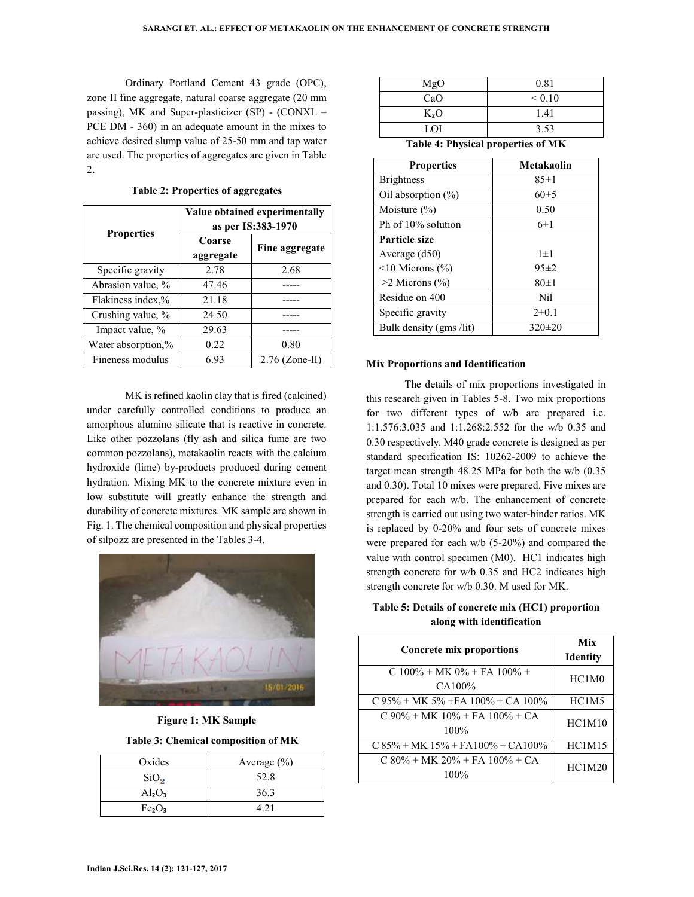Ordinary Portland Cement 43 grade (OPC), zone II fine aggregate, natural coarse aggregate (20 mm passing), MK and Super-plasticizer (SP) - (CONXL – PCE DM - 360) in an adequate amount in the mixes to achieve desired slump value of 25-50 mm and tap water are used. The properties of aggregates are given in Table 2.

| <b>Properties</b>  | Value obtained experimentally<br>as per IS:383-1970 |                  |
|--------------------|-----------------------------------------------------|------------------|
|                    | Coarse<br>aggregate                                 | Fine aggregate   |
| Specific gravity   | 2.78                                                | 2.68             |
| Abrasion value, %  | 47.46                                               |                  |
| Flakiness index,%  | 21.18                                               |                  |
| Crushing value, %  | 24.50                                               |                  |
| Impact value, %    | 29.63                                               |                  |
| Water absorption,% | 0.22                                                | 0.80             |
| Fineness modulus   | 6.93                                                | $2.76$ (Zone-II) |

**Table 2: Properties of aggregates** 

MK is refined kaolin clay that is fired (calcined) under carefully controlled conditions to produce an amorphous alumino silicate that is reactive in concrete. Like other pozzolans (fly ash and silica fume are two common pozzolans), metakaolin reacts with the calcium hydroxide (lime) by-products produced during cement hydration. Mixing MK to the concrete mixture even in low substitute will greatly enhance the strength and durability of concrete mixtures. MK sample are shown in Fig. 1. The chemical composition and physical properties of silpozz are presented in the Tables 3-4.



**Figure 1: MK Sample** 

**Table 3: Chemical composition of MK** 

| Oxides                         | Average $(\% )$ |
|--------------------------------|-----------------|
| $SiO_{\odot}$                  | 52.8            |
| $Al_2O_3$                      | 36.3            |
| Fe <sub>2</sub> O <sub>3</sub> | 4.21            |

| MgO    | 0.81        |
|--------|-------------|
| CaO    | ${}_{0.10}$ |
| $K_2O$ | 1.41        |
| LOI    | 3.53        |

**Table 4: Physical properties of MK** 

| <b>Properties</b>       | Metakaolin |
|-------------------------|------------|
| <b>Brightness</b>       | 85±1       |
| Oil absorption $(\%)$   | $60\pm5$   |
| Moisture $(\%)$         | 0.50       |
| Ph of 10% solution      | $6\pm1$    |
| <b>Particle size</b>    |            |
| Average (d50)           | $1\pm1$    |
| $\leq$ 10 Microns (%)   | $95 \pm 2$ |
| $>2$ Microns $(\% )$    | 80±1       |
| Residue on 400          | Nil        |
| Specific gravity        | $2\pm 0.1$ |
| Bulk density (gms /lit) | $320\pm20$ |

#### **Mix Proportions and Identification**

The details of mix proportions investigated in this research given in Tables 5-8. Two mix proportions for two different types of w/b are prepared i.e. 1:1.576:3.035 and 1:1.268:2.552 for the w/b 0.35 and 0.30 respectively. M40 grade concrete is designed as per standard specification IS: 10262-2009 to achieve the target mean strength 48.25 MPa for both the w/b (0.35 and 0.30). Total 10 mixes were prepared. Five mixes are prepared for each w/b. The enhancement of concrete strength is carried out using two water-binder ratios. MK is replaced by 0-20% and four sets of concrete mixes were prepared for each w/b (5-20%) and compared the value with control specimen (M0). HC1 indicates high strength concrete for w/b 0.35 and HC2 indicates high strength concrete for w/b 0.30. M used for MK.

# **Table 5: Details of concrete mix (HC1) proportion along with identification**

| <b>Concrete mix proportions</b>               | Mix<br><b>Identity</b> |
|-----------------------------------------------|------------------------|
| $C 100\% + MK 0\% + FA 100\% +$<br>CA100\%    | HC1M <sub>0</sub>      |
| $C$ 95% + MK 5% + FA 100% + CA 100%           | HC1M5                  |
| $C 90\% + MK 10\% + FA 100\% + CA$<br>$100\%$ | HC1M10                 |
| $C$ 85% + MK 15% + FA100% + CA100%            | HC1M15                 |
| $C 80\% + MK 20\% + FA 100\% + CA$<br>$100\%$ | HC1M20                 |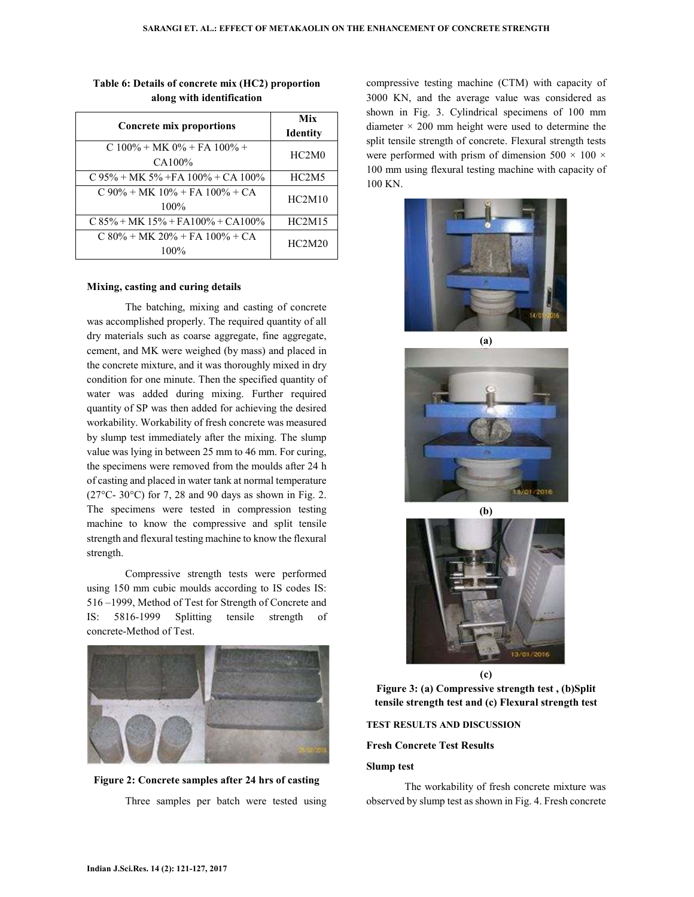| <b>Concrete mix proportions</b>            | Mix<br><b>Identity</b> |
|--------------------------------------------|------------------------|
| $C 100\% + MK 0\% + FA 100\% +$<br>CA100%  | HC2M0                  |
| $C$ 95% + MK 5% + FA 100% + CA 100%        | HC2M5                  |
| $C 90\% + MK 10\% + FA 100\% + CA$<br>100% | HC2M10                 |
| $C$ 85% + MK 15% + FA100% + CA100%         | HC2M15                 |
| $C$ 80% + MK 20% + FA 100% + CA<br>100%    | HC2M20                 |

# **Table 6: Details of concrete mix (HC2) proportion along with identification**

# **Mixing, casting and curing details**

The batching, mixing and casting of concrete was accomplished properly. The required quantity of all dry materials such as coarse aggregate, fine aggregate, cement, and MK were weighed (by mass) and placed in the concrete mixture, and it was thoroughly mixed in dry condition for one minute. Then the specified quantity of water was added during mixing. Further required quantity of SP was then added for achieving the desired workability. Workability of fresh concrete was measured by slump test immediately after the mixing. The slump value was lying in between 25 mm to 46 mm. For curing, the specimens were removed from the moulds after 24 h of casting and placed in water tank at normal temperature  $(27^{\circ}C - 30^{\circ}C)$  for 7, 28 and 90 days as shown in Fig. 2. The specimens were tested in compression testing machine to know the compressive and split tensile strength and flexural testing machine to know the flexural strength.

Compressive strength tests were performed using 150 mm cubic moulds according to IS codes IS: 516 –1999, Method of Test for Strength of Concrete and IS: 5816-1999 Splitting tensile strength of concrete-Method of Test.





compressive testing machine (CTM) with capacity of 3000 KN, and the average value was considered as shown in Fig. 3. Cylindrical specimens of 100 mm diameter  $\times$  200 mm height were used to determine the split tensile strength of concrete. Flexural strength tests were performed with prism of dimension  $500 \times 100 \times$ 100 mm using flexural testing machine with capacity of 100 KN.



1701-2016



**Figure 3: (a) Compressive strength test , (b)Split tensile strength test and (c) Flexural strength test** 

**TEST RESULTS AND DISCUSSION**

#### **Fresh Concrete Test Results**

#### **Slump test**

The workability of fresh concrete mixture was observed by slump test as shown in Fig. 4. Fresh concrete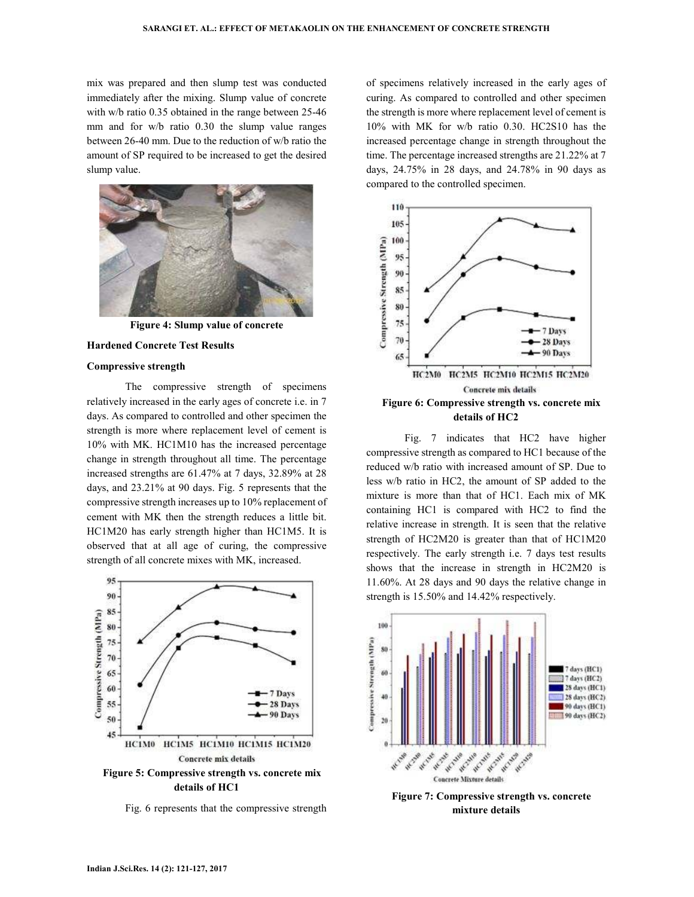mix was prepared and then slump test was conducted immediately after the mixing. Slump value of concrete with w/b ratio 0.35 obtained in the range between 25-46 mm and for w/b ratio 0.30 the slump value ranges between 26-40 mm. Due to the reduction of w/b ratio the amount of SP required to be increased to get the desired slump value.



**Figure 4: Slump value of concrete** 

#### **Hardened Concrete Test Results**

#### **Compressive strength**

The compressive strength of specimens relatively increased in the early ages of concrete i.e. in 7 days. As compared to controlled and other specimen the strength is more where replacement level of cement is 10% with MK. HC1M10 has the increased percentage change in strength throughout all time. The percentage increased strengths are 61.47% at 7 days, 32.89% at 28 days, and 23.21% at 90 days. Fig. 5 represents that the compressive strength increases up to 10% replacement of cement with MK then the strength reduces a little bit. HC1M20 has early strength higher than HC1M5. It is observed that at all age of curing, the compressive strength of all concrete mixes with MK, increased.



Fig. 6 represents that the compressive strength

of specimens relatively increased in the early ages of curing. As compared to controlled and other specimen the strength is more where replacement level of cement is 10% with MK for w/b ratio 0.30. HC2S10 has the increased percentage change in strength throughout the time. The percentage increased strengths are 21.22% at 7 days, 24.75% in 28 days, and 24.78% in 90 days as compared to the controlled specimen.



Fig. 7 indicates that HC2 have higher compressive strength as compared to HC1 because of the reduced w/b ratio with increased amount of SP. Due to less w/b ratio in HC2, the amount of SP added to the mixture is more than that of HC1. Each mix of MK containing HC1 is compared with HC2 to find the relative increase in strength. It is seen that the relative strength of HC2M20 is greater than that of HC1M20 respectively. The early strength i.e. 7 days test results shows that the increase in strength in HC2M20 is 11.60%. At 28 days and 90 days the relative change in strength is 15.50% and 14.42% respectively.



**Figure 7: Compressive strength vs. concrete mixture details**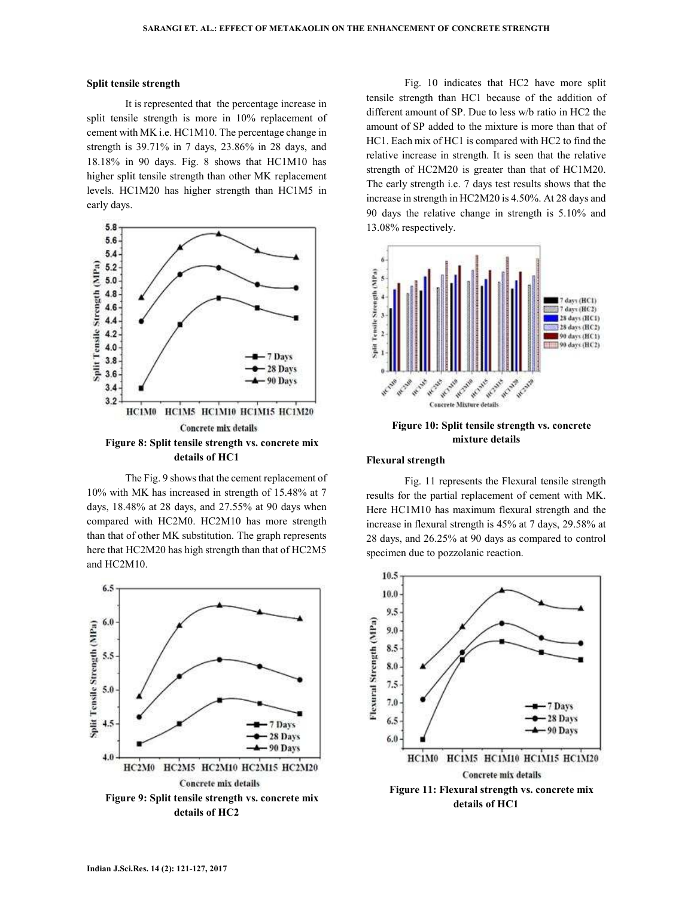#### **Split tensile strength**

It is represented that the percentage increase in split tensile strength is more in 10% replacement of cement with MK i.e. HC1M10. The percentage change in strength is 39.71% in 7 days, 23.86% in 28 days, and 18.18% in 90 days. Fig. 8 shows that HC1M10 has higher split tensile strength than other MK replacement levels. HC1M20 has higher strength than HC1M5 in early days.



The Fig. 9 shows that the cement replacement of 10% with MK has increased in strength of 15.48% at 7 days, 18.48% at 28 days, and 27.55% at 90 days when compared with HC2M0. HC2M10 has more strength than that of other MK substitution. The graph represents here that HC2M20 has high strength than that of HC2M5 and HC2M10.



Fig. 10 indicates that HC2 have more split tensile strength than HC1 because of the addition of different amount of SP. Due to less w/b ratio in HC2 the amount of SP added to the mixture is more than that of HC1. Each mix of HC1 is compared with HC2 to find the relative increase in strength. It is seen that the relative strength of HC2M20 is greater than that of HC1M20. The early strength i.e. 7 days test results shows that the increase in strength in HC2M20 is 4.50%. At 28 days and 90 days the relative change in strength is 5.10% and 13.08% respectively.



**Figure 10: Split tensile strength vs. concrete mixture details** 

#### **Flexural strength**

Fig. 11 represents the Flexural tensile strength results for the partial replacement of cement with MK. Here HC1M10 has maximum flexural strength and the increase in flexural strength is 45% at 7 days, 29.58% at 28 days, and 26.25% at 90 days as compared to control specimen due to pozzolanic reaction.

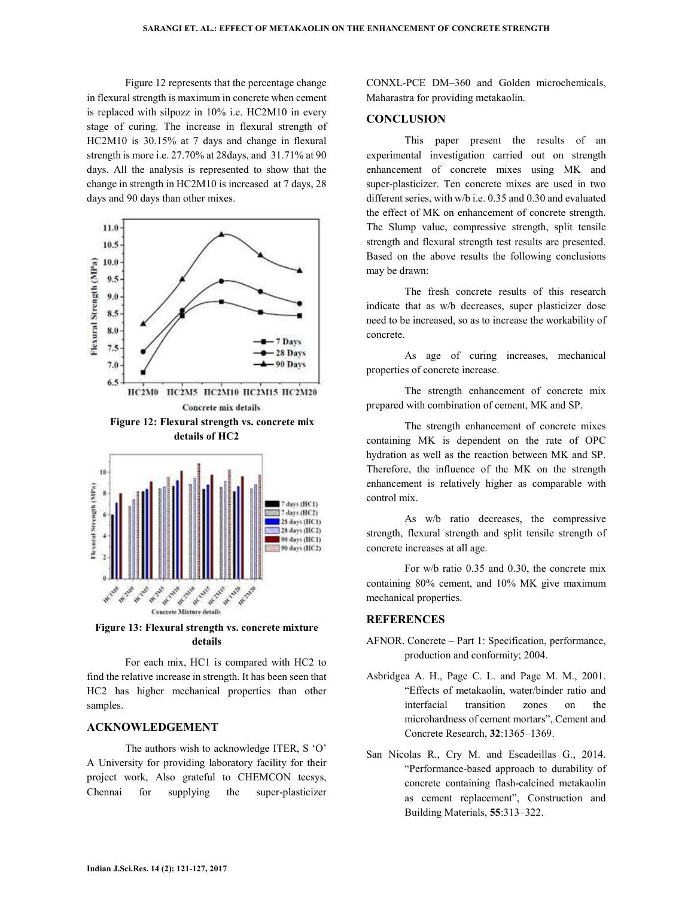Figure 12 represents that the percentage change in flexural strength is maximum in concrete when cement is replaced with silpozz in 10% i.e. HC2M10 in every stage of curing. The increase in flexural strength of HC2M10 is 30.15% at 7 days and change in flexural strength is more i.e. 27.70% at 28days, and 31.71% at 90 days. All the analysis is represented to show that the change in strength in HC2M10 is increased at 7 days, 28 days and 90 days than other mixes.





**Figure 13: Flexural strength vs. concrete mixture details** 

For each mix, HC1 is compared with HC2 to find the relative increase in strength. It has been seen that HC2 has higher mechanical properties than other samples.

# **ACKNOWLEDGEMENT**

The authors wish to acknowledge ITER, S 'O' A University for providing laboratory facility for their project work, Also grateful to CHEMCON tecsys, Chennai for supplying the super-plasticizer CONXL-PCE DM–360 and Golden microchemicals, Maharastra for providing metakaolin.

# **CONCLUSION**

This paper present the results of an experimental investigation carried out on strength enhancement of concrete mixes using MK and super-plasticizer. Ten concrete mixes are used in two different series, with w/b i.e. 0.35 and 0.30 and evaluated the effect of MK on enhancement of concrete strength. The Slump value, compressive strength, split tensile strength and flexural strength test results are presented. Based on the above results the following conclusions may be drawn:

The fresh concrete results of this research indicate that as w/b decreases, super plasticizer dose need to be increased, so as to increase the workability of concrete.

As age of curing increases, mechanical properties of concrete increase.

The strength enhancement of concrete mix prepared with combination of cement, MK and SP.

The strength enhancement of concrete mixes containing MK is dependent on the rate of OPC hydration as well as the reaction between MK and SP. Therefore, the influence of the MK on the strength enhancement is relatively higher as comparable with control mix.

As w/b ratio decreases, the compressive strength, flexural strength and split tensile strength of concrete increases at all age.

For w/b ratio 0.35 and 0.30, the concrete mix containing 80% cement, and 10% MK give maximum mechanical properties.

# **REFERENCES**

- AFNOR. Concrete Part 1: Specification, performance, production and conformity; 2004.
- Asbridgea A. H., Page C. L. and Page M. M., 2001. "Effects of metakaolin, water/binder ratio and interfacial transition zones on the microhardness of cement mortars", Cement and Concrete Research, **32**:1365–1369.
- San Nicolas R., Cry M. and Escadeillas G., 2014. "Performance-based approach to durability of concrete containing flash-calcined metakaolin as cement replacement", Construction and Building Materials, **55**:313–322.